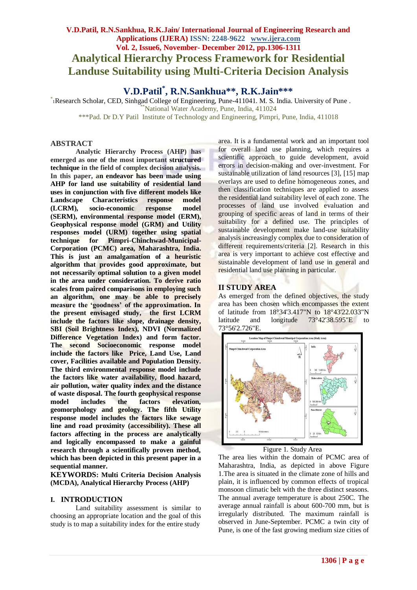# **V.D.Patil, R.N.Sankhua, R.K.Jain/ International Journal of Engineering Research and Applications (IJERA) ISSN: 2248-9622 www.ijera.com Vol. 2, Issue6, November- December 2012, pp.1306-1311 Analytical Hierarchy Process Framework for Residential Landuse Suitability using Multi-Criteria Decision Analysis**

**V.D.Patil\* , R.N.Sankhua\*\*, R.K.Jain\*\*\***

\* <sup>1</sup>Research Scholar, CED, Sinhgad College of Engineering, Pune-411041. M. S. India. University of Pune . \*\*National Water Academy, Pune, India, 411024

\*\*\*Pad. Dr D.Y Patil Institute of Technology and Engineering, Pimpri, Pune, India, 411018

#### **ABSTRACT**

**Analytic Hierarchy Process (AHP) has emerged as one of the most important structured technique in the field of complex decision analysis. In this paper, an endeavor has been made using AHP for land use suitability of residential land uses in conjunction with five different models like Landscape Characteristics response model (LCRM), socio-economic response model (SERM), environmental response model (ERM), Geophysical response model (GRM) and Utility responses model (URM) together using spatial technique for Pimpri-Chinchwad-Municipal-Corporation (PCMC) area, Maharashtra, India. This is just an amalgamation of a heuristic algorithm that provides good approximate, but not necessarily optimal solution to a given model in the area under consideration. To derive ratio scales from paired comparisons in employing such an algorithm, one may be able to precisely measure the 'goodness' of the approximation. In the present envisaged study, the first LCRM include the factors like slope, drainage density, SBI (Soil Brightness Index), NDVI (Normalized Difference Vegetation Index) and form factor. The second Socioeconomic response model include the factors like Price, Land Use, Land cover, Facilities available and Population Density. The third environmental response model include the factors like water availability, flood hazard, air pollution, water quality index and the distance of waste disposal. The fourth geophysical response model includes the factors elevation, geomorphology and geology. The fifth Utility response model includes the factors like sewage line and road proximity (accessibility). These all factors affecting in the process are analytically and logically encompassed to make a gainful research through a scientifically proven method, which has been depicted in this present paper in a sequential manner.**

**KEYWORDS: Multi Criteria Decision Analysis (MCDA), Analytical Hierarchy Process (AHP)**

#### **I. INTRODUCTION**

Land suitability assessment is similar to choosing an appropriate location and the goal of this study is to map a suitability index for the entire study

area. It is a fundamental work and an important tool for overall land use planning, which requires a scientific approach to guide development, avoid errors in decision-making and over-investment. For sustainable utilization of land resources [3], [15] map overlays are used to define homogeneous zones, and then classification techniques are applied to assess the residential land suitability level of each zone. The processes of land use involved evaluation and grouping of specific areas of land in terms of their suitability for a defined use. The principles of sustainable development make land-use suitability analysis increasingly complex due to consideration of different requirements/criteria [2]. Research in this area is very important to achieve cost effective and sustainable development of land use in general and residential land use planning in particular.

#### **II STUDY AREA**

As emerged from the defined objectives, the study area has been chosen which encompasses the extent of latitude from 18°34'3.417"N to 18°43'22.033"N latitude and longitude 73°42'38.595"E to 73°56'2.726"E.



Figure 1. Study Area

The area lies within the domain of PCMC area of Maharashtra, India, as depicted in above Figure 1.The area is situated in the climate zone of hills and plain, it is influenced by common effects of tropical monsoon climatic belt with the three distinct seasons. The annual average temperature is about 250C. The average annual rainfall is about 600-700 mm, but is irregularly distributed. The maximum rainfall is observed in June-September. PCMC a twin city of Pune, is one of the fast growing medium size cities of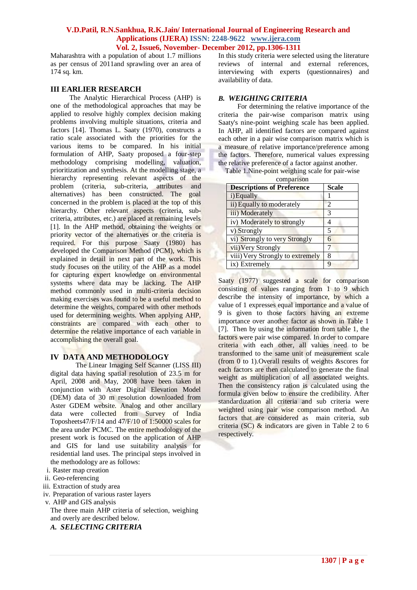Maharashtra with a population of about 1.7 millions as per census of 2011and sprawling over an area of 174 sq. km.

#### **III EARLIER RESEARCH**

The Analytic Hierarchical Process (AHP) is one of the methodological approaches that may be applied to resolve highly complex decision making problems involving multiple situations, criteria and factors [14]. Thomas L. Saaty (1970), constructs a ratio scale associated with the priorities for the various items to be compared. In his initial formulation of AHP, Saaty proposed a four-step methodology comprising modelling, valuation, prioritization and synthesis. At the modelling stage, a hierarchy representing relevant aspects of the problem (criteria, sub-criteria, attributes and alternatives) has been constructed. The goal concerned in the problem is placed at the top of this hierarchy. Other relevant aspects (criteria, subcriteria, attributes, etc.) are placed at remaining levels [1]. In the AHP method, obtaining the weights or priority vector of the alternatives or the criteria is required. For this purpose Saaty (1980) has developed the Comparison Method (PCM), which is explained in detail in next part of the work. This study focuses on the utility of the AHP as a model for capturing expert knowledge on environmental systems where data may be lacking. The AHP method commonly used in multi-criteria decision making exercises was found to be a useful method to determine the weights, compared with other methods used for determining weights. When applying AHP, constraints are compared with each other to determine the relative importance of each variable in accomplishing the overall goal.

# **IV DATA AND METHODOLOGY**

The Linear Imaging Self Scanner (LISS III) digital data having spatial resolution of 23.5 m for April, 2008 and May, 2008 have been taken in conjunction with Aster Digital Elevation Model (DEM) data of 30 m resolution downloaded from Aster GDEM website. Analog and other ancillary data were collected from Survey of India Toposheets47/F/14 and 47/F/10 of 1:50000 scales for the area under PCMC. The entire methodology of the present work is focused on the application of AHP and GIS for land use suitability analysis for residential land uses. The principal steps involved in the methodology are as follows:

- i. Raster map creation
- ii. Geo-referencing
- iii. Extraction of study area
- iv. Preparation of various raster layers
- v. AHP and GIS analysis The three main AHP criteria of selection, weighing and overly are described below.
	- *A. SELECTING CRITERIA*

In this study criteria were selected using the literature reviews of internal and external references, interviewing with experts (questionnaires) and availability of data.

#### *B. WEIGHING CRITERIA*

For determining the relative importance of the criteria the pair-wise comparison matrix using Saaty's nine-point weighing scale has been applied. In AHP, all identified factors are compared against each other in a pair wise comparison matrix which is a measure of relative importance/preference among the factors. Therefore, numerical values expressing the relative preference of a factor against another.

Table 1.Nine-point weighing scale for pair-wise

| <b>Descriptions of Preference</b> | <b>Scale</b>   |
|-----------------------------------|----------------|
| i) Equally                        |                |
| ii) Equally to moderately         | $\overline{2}$ |
| iii) Moderately                   | 3              |
| iv) Moderately to strongly        | 4              |
| v) Strongly                       | 5              |
| vi) Strongly to very Strongly     | 6              |
| vii) Very Strongly                |                |
| viii) Very Strongly to extremely  | 8              |
| ix) Extremely                     | 9              |

Saaty (1977) suggested a scale for comparison consisting of values ranging from 1 to 9 which describe the intensity of importance, by which a value of 1 expresses equal importance and a value of 9 is given to those factors having an extreme importance over another factor as shown in Table 1 [7]. Then by using the information from table 1, the factors were pair wise compared. In order to compare criteria with each other, all values need to be transformed to the same unit of measurement scale (from 0 to 1).Overall results of weights &scores for each factors are then calculated to generate the final weight as multiplication of all associated weights. Then the consistency ration is calculated using the formula given below to ensure the credibility. After standardization all criteria and sub criteria were weighted using pair wise comparison method. An factors that are considered as main criteria, sub criteria (SC) & indicators are given in Table 2 to 6 respectively.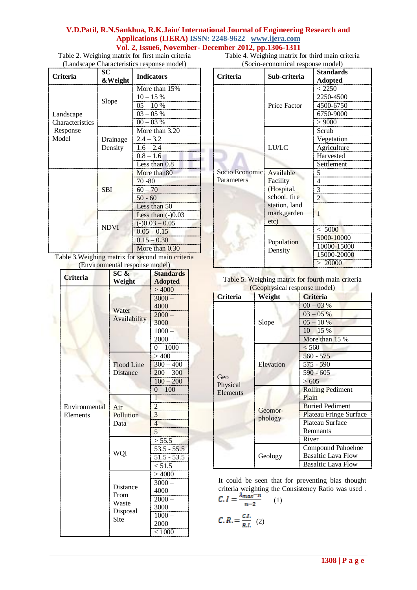Table 2. Weighing matrix for first main criteria (Landscape Characteristics response model)

Table 4. Weighing matrix for third main criteria (Socio-economical response model)

| <b>Criteria</b>              | SC<br>&Weight       | <b>Indicators</b>                                                                           |
|------------------------------|---------------------|---------------------------------------------------------------------------------------------|
| Landscape<br>Characteristics | Slope               | More than 15%<br>$10 - 15 %$<br>$05 - 10%$<br>$03 - 05 %$<br>$00 - 03 %$                    |
| Response<br>Model            | Drainage<br>Density | More than 3.20<br>$2.4 - 3.2$<br>$1.6 - 2.4$<br>$0.8 - 1.6$<br>Less than 0.8                |
|                              | <b>SBI</b>          | More than 80<br>$70 - 80$<br>$60 - 70$<br>$50 - 60$<br>Less than 50                         |
|                              | <b>NDVI</b>         | Less than $(-)0.03$<br>$(-)0.03 - 0.05$<br>$0.05 - 0.15$<br>$0.15 - 0.30$<br>More than 0.30 |

Table 3.Weighing matrix for second main criteria (Environmental response model)

|                 | Environmental response moder<br>SC& | <b>Standards</b>           |
|-----------------|-------------------------------------|----------------------------|
| <b>Criteria</b> | Weight                              | <b>Adopted</b>             |
|                 |                                     | >4000                      |
|                 |                                     | $3000 -$                   |
|                 | Water                               | 4000                       |
|                 |                                     | $2000 -$                   |
| Availability    | 3000                                |                            |
|                 |                                     | $1000 -$                   |
|                 |                                     | 2000                       |
|                 |                                     | $0 - 1000$                 |
|                 |                                     | >400                       |
|                 | Flood Line                          | $300 - 400$                |
|                 | <b>Distance</b>                     | $200 - 300$                |
|                 |                                     | $100 - 200$                |
|                 |                                     | $0 - 100$                  |
|                 |                                     | $\overline{1}$             |
| Environmental   | Air                                 |                            |
| Elements        | Pollution                           | $\frac{2}{3}$              |
|                 | Data                                | 4                          |
|                 |                                     | 5                          |
|                 |                                     | > 55.5                     |
|                 |                                     | $53.5 - 55.5$              |
|                 | WQI                                 |                            |
|                 |                                     | $\frac{51.5 - 53.5}{51.5}$ |
|                 |                                     | >4000                      |
|                 |                                     | $3000 -$                   |
|                 | Distance<br>From<br>Waste           | 4000                       |
|                 |                                     | $2000 -$                   |
|                 |                                     | 3000                       |
|                 | Disposal                            | $1000 -$                   |
|                 | Site                                | 2000                       |
|                 |                                     | < 1000                     |

| <b>Criteria</b>              | Sub-criteria                                                                                 | <b>Standards</b><br><b>Adopted</b>                            |  |
|------------------------------|----------------------------------------------------------------------------------------------|---------------------------------------------------------------|--|
|                              | Price Factor                                                                                 | < 2250<br>2250-4500<br>4500-6750<br>6750-9000<br>> 9000       |  |
|                              | LU/LC                                                                                        | Scrub<br>Vegetation<br>Agriculture<br>Harvested<br>Settlement |  |
| Socio Economic<br>Parameters | Available<br>Facility<br>(Hospital,<br>school. fire<br>station, land<br>mark, garden<br>etc) | Δ<br>1                                                        |  |
|                              | Population<br>Density                                                                        | < 5000<br>5000-10000<br>10000-15000<br>15000-20000<br>> 20000 |  |

Table 5. Weighing matrix for fourth main criteria (Geophysical response model)

| Criteria        | Weight    | <b>Criteria</b>               |
|-----------------|-----------|-------------------------------|
|                 |           | $00 - 03\%$                   |
|                 |           | $03 - 05\%$                   |
|                 | Slope     | $05 - 10%$                    |
|                 |           | $10 - 15\%$                   |
|                 |           | More than 15 %                |
|                 |           | < 560                         |
| Geo<br>Physical |           | $560 - 575$                   |
|                 | Elevation | 575 - 590                     |
|                 |           | 590 - 605                     |
|                 |           | > 605                         |
| Elements        |           | <b>Rolling Pediment</b>       |
|                 |           | Plain                         |
|                 | Geomor-   | <b>Buried Pediment</b>        |
|                 | phology   | <b>Plateau Fringe Surface</b> |
|                 |           | Plateau Surface               |
|                 |           | Remnants                      |
|                 |           | River                         |
|                 |           | Compound Pahoehoe             |
|                 | Geology   | <b>Basaltic Lava Flow</b>     |
|                 |           | <b>Basaltic Lava Flow</b>     |

It could be seen that for preventing bias thought criteria weighting the Consistency Ratio was used .  $(1)$ 

$$
C, R = \frac{CL}{R.L} \quad (2)
$$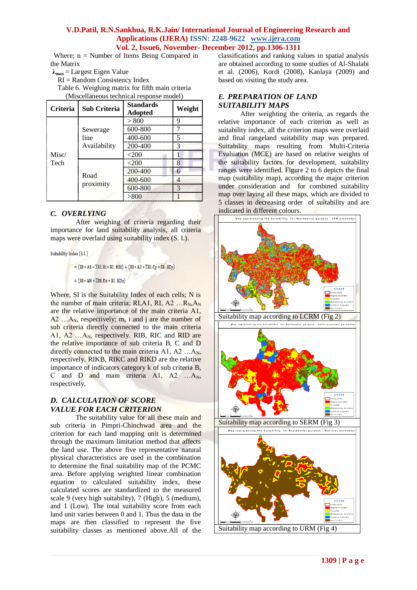Where:  $n =$  Number of Items Being Compared in the Matrix

- $\lambda_{\text{max}} =$  Largest Eigen Value
- RI = Random Consistency Index

Table 6. Weighing matrix for fifth main criteria (Miscellaneous technical response model)

| <b>Criteria</b> | <b>Sub Criteria</b>              | <b>Standards</b><br><b>Adopted</b> | Weight |
|-----------------|----------------------------------|------------------------------------|--------|
| Misc/<br>Tech   | Sewerage<br>line<br>Availability | 800                                | q      |
|                 |                                  | 600-800                            |        |
|                 |                                  | 400-600                            | ς      |
|                 |                                  | 200-400                            |        |
|                 |                                  |                                    |        |
|                 | Road<br>proximity                |                                    | 8      |
|                 |                                  | $200 - 400$                        |        |
|                 |                                  | 400-600                            |        |
|                 |                                  | 600-800                            | 3      |
|                 |                                  |                                    |        |

## *C. OVERLYING*

After weighing of criteria regarding their importance for land suitability analysis, all criteria maps were overlaid using suitability index (S. I.).

Suitability Index (S.I.)

- $= (RI * AI * \Sigma RI.Bi * RI.KBi) + (RI * A2 * \Sigma RI.Cy * RI.KCy)$
- $+$  (RI \* AN \*  $\Sigma$ RI, Dz \* RI, KDz)

Where, SI is the Suitability Index of each cells; N is the number of main criteria; RI, A1, RI, A2 ...  $R_N$ ,  $A_N$ are the relative importance of the main criteria A1,  $A2$  ...,  $A_N$ , respectively; m, i and j are the number of sub criteria directly connected to the main criteria A1, A2 …A<sub>N</sub>, respectively. RIB, RIC and RID are the relative importance of sub criteria B, C and D directly connected to the main criteria A1, A2  $\dots$ A<sub>N</sub>, respectively. RIKB, RIKC and RIKD are the relative importance of indicators category k of sub criteria B, C and D and main criteria  $A1$ ,  $A2$  ... $A_N$ , respectively.

# *D. CALCULATION OF SCORE VALUE FOR EACH CRITERION*

The suitability value for all these main and sub criteria in Pimpri-Chinchwad area and the criterion for each land mapping unit is determined through the maximum limitation method that affects the land use. The above five representative natural physical characteristics are used in the combination to determine the final suitability map of the PCMC area. Before applying weighted linear combination equation to calculated suitability index, these calculated scores are standardized to the measured scale 9 (very high suitability), 7 (High), 5 (medium), and 1 (Low). The total suitability score from each land unit varies between 0 and 1. Thus the data in the maps are then classified to represent the five suitability classes as mentioned above.All of the classifications and ranking values in spatial analysis are obtained according to some studies of Al-Shalabi et al. (2006), Kordi (2008), Kanlaya (2009) and based on visiting the study area.

## *E. PREPARATION OF LAND SUITABILITY MAPS*

After weighting the criteria, as regards the relative importance of each criterion as well as suitability index, all the criterion maps were overlaid and final rangeland suitability map was prepared. Suitability maps resulting from Multi-Criteria Evaluation (MCE) are based on relative weights of the suitability factors for development, suitability ranges were identified. Figure 2 to 6 depicts the final map (suitability map), according the major criterion under consideration and for combined suitability map over laying all these maps, which are divided to 5 classes in decreasing order of suitability and are indicated in different colours.

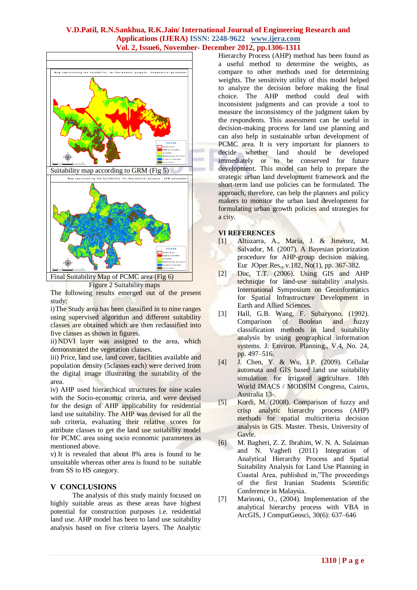

Figure 2 Suitability maps

The following results emerged out of the present study:

i)The Study area has been classified in to nine ranges using supervised algorithm and different suitability classes are obtained which are then reclassified into five classes as shown in figures.

ii) NDVI layer was assigned to the area, which demonstrated the vegetation classes.

iii) Price, land use, land cover, facilities available and population density (5classes each) were derived from the digital image illustrating the suitability of the area.

iv) AHP used hierarchical structures for nine scales with the Socio-economic criteria, and were devised for the design of AHP applicability for residential land use suitability. The AHP was devised for all the sub criteria, evaluating their relative scores for attribute classes to get the land use suitability model for PCMC area using socio economic parameters as mentioned above.

v) It is revealed that about 8% area is found to be unsuitable whereas other area is found to be suitable from SS to HS category.

# **V CONCLUSIONS**

The analysis of this study mainly focused on highly suitable areas as these areas have highest potential for construction purposes i.e. residential land use. AHP model has been to land use suitability analysis based on five criteria layers. The Analytic

Hierarchy Process (AHP) method has been found as a useful method to determine the weights, as compare to other methods used for determining weights. The sensitivity utility of this model helped to analyze the decision before making the final choice. The AHP method could deal with inconsistent judgments and can provide a tool to measure the inconsistency of the judgment taken by the respondents. This assessment can be useful in decision-making process for land use planning and can also help in sustainable urban development of PCMC area. It is very important for planners to decide whether land should be developed immediately or to be conserved for future development. This model can help to prepare the strategic urban land development framework and the short-term land use policies can be formulated. The approach, therefore, can help the planners and policy makers to monitor the urban land development for formulating urban growth policies and strategies for a city.

## **VI REFERENCES**

- [1] Altuzarra, A., María, J. & Jiménez, M. Salvador, M. (2007). A Bayesian priorization procedure for AHP-group decision making. Eur JOper Res., v.182, No(1), pp. 367-382.
- [2] Duc, T.T. (2006). Using GIS and AHP technique for land-use suitability analysis. International Symposium on Geoinformatics for Spatial Infrastructure Development in Earth and Allied Sciences.
- [3] Hall, G.B. Wang, F. Subaryono. (1992). Comparison of Boolean and fuzzy classification methods in land suitability analysis by using geographical information systems. J. Environ. Planning., V.4, No. 24, pp. 497–516.
- [4] J. Chen, Y. & Wu, J.P. (2009). Cellular automata and GIS based land use suitability simulation for irrigated agriculture. 18th World IMACS / MODSIM Congress, Cairns, Australia 13-.
- [5] Kordi, M. (2008). Comparison of fuzzy and crisp analytic hierarchy process (AHP) methods for spatial multicriteria decision analysis in GIS. Master. Thesis, University of Gavle.
- [6] M. Bagheri, Z. Z. Ibrahim, W. N. A. Sulaiman and N. Vaghefi (2011) Integration of Analytical Hierarchy Process and Spatial Suitability Analysis for Land Use Planning in Coastal Area, published in,"The proceedings of the first Iranian Students Scientific Conference in Malaysia.
- [7] Marinoni, O., (2004). Implementation of the analytical hierarchy process with VBA in ArcGIS, J ComputGeosci, 30(6): 637–646